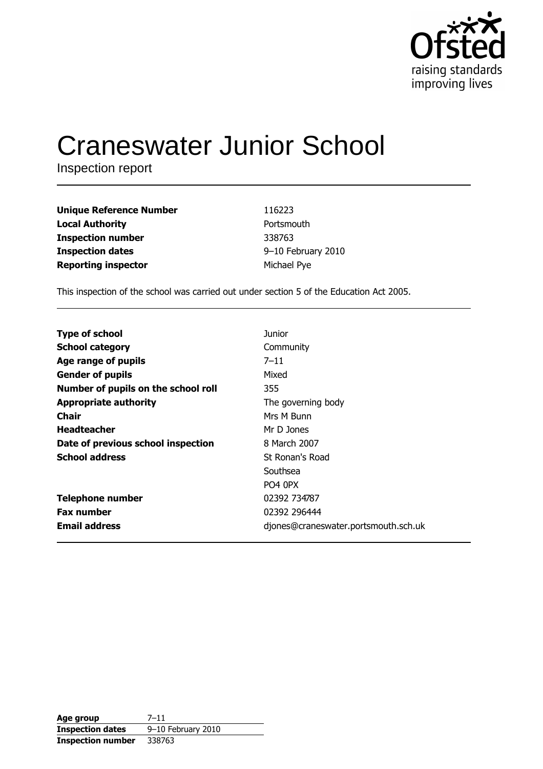

# **Craneswater Junior School**

Inspection report

| <b>Unique Reference Number</b> | 116223             |
|--------------------------------|--------------------|
| <b>Local Authority</b>         | Portsmouth         |
| <b>Inspection number</b>       | 338763             |
| <b>Inspection dates</b>        | 9-10 February 2010 |
| <b>Reporting inspector</b>     | Michael Pye        |

This inspection of the school was carried out under section 5 of the Education Act 2005.

| <b>Type of school</b>               | <b>Junior</b>                        |
|-------------------------------------|--------------------------------------|
| <b>School category</b>              | Community                            |
| Age range of pupils                 | $7 - 11$                             |
| <b>Gender of pupils</b>             | Mixed                                |
| Number of pupils on the school roll | 355                                  |
| <b>Appropriate authority</b>        | The governing body                   |
| <b>Chair</b>                        | Mrs M Bunn                           |
| <b>Headteacher</b>                  | Mr D Jones                           |
| Date of previous school inspection  | 8 March 2007                         |
| <b>School address</b>               | St Ronan's Road                      |
|                                     | Southsea                             |
|                                     | PO <sub>4</sub> OPX                  |
| <b>Telephone number</b>             | 02392 734787                         |
| <b>Fax number</b>                   | 02392 296444                         |
| <b>Email address</b>                | djones@craneswater.portsmouth.sch.uk |

| Age group                | $7 - 11$           |
|--------------------------|--------------------|
| <b>Inspection dates</b>  | 9-10 February 2010 |
| <b>Inspection number</b> | 338763             |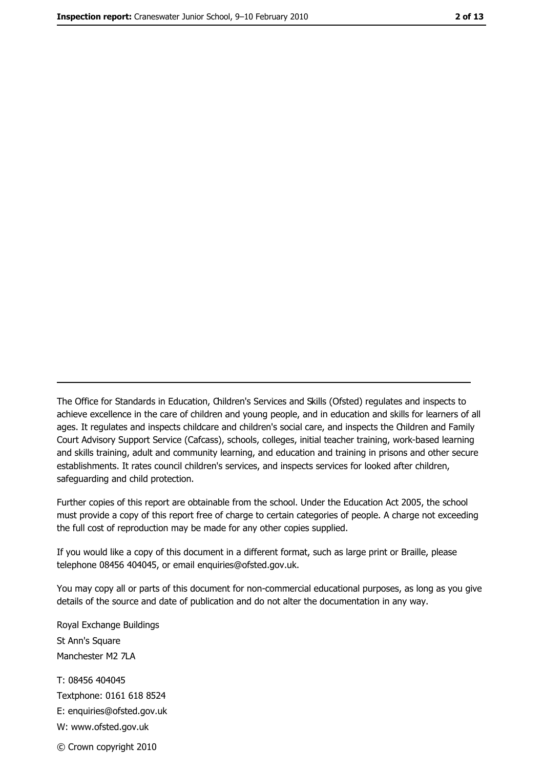The Office for Standards in Education, Children's Services and Skills (Ofsted) regulates and inspects to achieve excellence in the care of children and young people, and in education and skills for learners of all ages. It regulates and inspects childcare and children's social care, and inspects the Children and Family Court Advisory Support Service (Cafcass), schools, colleges, initial teacher training, work-based learning and skills training, adult and community learning, and education and training in prisons and other secure establishments. It rates council children's services, and inspects services for looked after children, safequarding and child protection.

Further copies of this report are obtainable from the school. Under the Education Act 2005, the school must provide a copy of this report free of charge to certain categories of people. A charge not exceeding the full cost of reproduction may be made for any other copies supplied.

If you would like a copy of this document in a different format, such as large print or Braille, please telephone 08456 404045, or email enquiries@ofsted.gov.uk.

You may copy all or parts of this document for non-commercial educational purposes, as long as you give details of the source and date of publication and do not alter the documentation in any way.

Royal Exchange Buildings St Ann's Square Manchester M2 7LA T: 08456 404045 Textphone: 0161 618 8524 E: enquiries@ofsted.gov.uk W: www.ofsted.gov.uk © Crown copyright 2010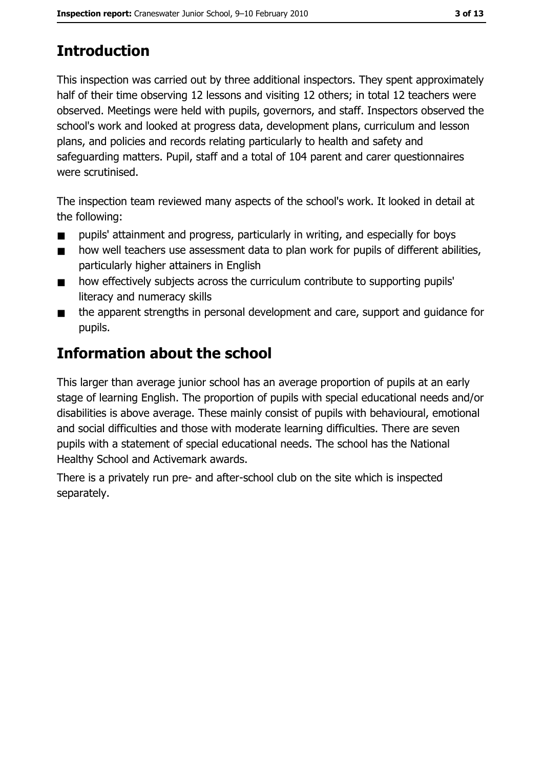# **Introduction**

This inspection was carried out by three additional inspectors. They spent approximately half of their time observing 12 lessons and visiting 12 others; in total 12 teachers were observed. Meetings were held with pupils, governors, and staff. Inspectors observed the school's work and looked at progress data, development plans, curriculum and lesson plans, and policies and records relating particularly to health and safety and safeguarding matters. Pupil, staff and a total of 104 parent and carer guestionnaires were scrutinised.

The inspection team reviewed many aspects of the school's work. It looked in detail at the following:

- pupils' attainment and progress, particularly in writing, and especially for boys  $\blacksquare$
- how well teachers use assessment data to plan work for pupils of different abilities,  $\blacksquare$ particularly higher attainers in English
- how effectively subjects across the curriculum contribute to supporting pupils'  $\blacksquare$ literacy and numeracy skills
- the apparent strengths in personal development and care, support and guidance for  $\blacksquare$ pupils.

## **Information about the school**

This larger than average junior school has an average proportion of pupils at an early stage of learning English. The proportion of pupils with special educational needs and/or disabilities is above average. These mainly consist of pupils with behavioural, emotional and social difficulties and those with moderate learning difficulties. There are seven pupils with a statement of special educational needs. The school has the National Healthy School and Activemark awards.

There is a privately run pre- and after-school club on the site which is inspected separately.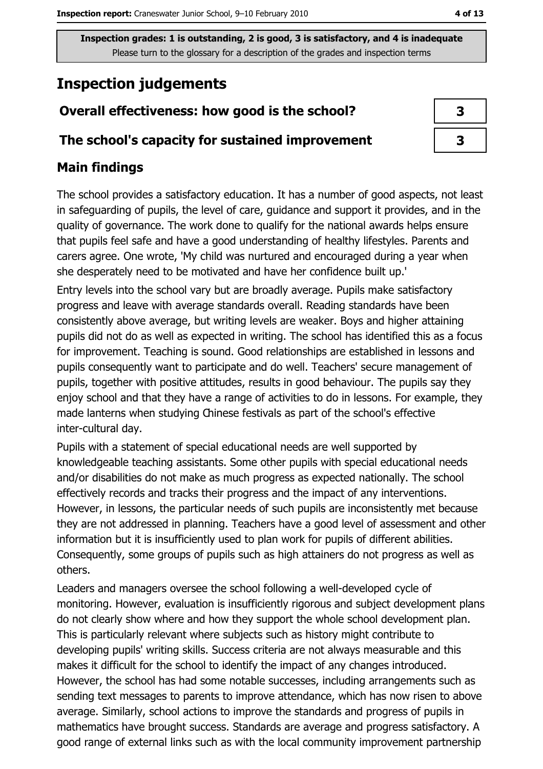## **Inspection judgements**

## Overall effectiveness: how good is the school?

#### The school's capacity for sustained improvement

#### **Main findings**

The school provides a satisfactory education. It has a number of good aspects, not least in safeguarding of pupils, the level of care, guidance and support it provides, and in the quality of governance. The work done to qualify for the national awards helps ensure that pupils feel safe and have a good understanding of healthy lifestyles. Parents and carers agree. One wrote, 'My child was nurtured and encouraged during a year when she desperately need to be motivated and have her confidence built up."

Entry levels into the school vary but are broadly average. Pupils make satisfactory progress and leave with average standards overall. Reading standards have been consistently above average, but writing levels are weaker. Boys and higher attaining pupils did not do as well as expected in writing. The school has identified this as a focus for improvement. Teaching is sound. Good relationships are established in lessons and pupils consequently want to participate and do well. Teachers' secure management of pupils, together with positive attitudes, results in good behaviour. The pupils say they enjoy school and that they have a range of activities to do in lessons. For example, they made lanterns when studying Chinese festivals as part of the school's effective inter-cultural day.

Pupils with a statement of special educational needs are well supported by knowledgeable teaching assistants. Some other pupils with special educational needs and/or disabilities do not make as much progress as expected nationally. The school effectively records and tracks their progress and the impact of any interventions. However, in lessons, the particular needs of such pupils are inconsistently met because they are not addressed in planning. Teachers have a good level of assessment and other information but it is insufficiently used to plan work for pupils of different abilities. Consequently, some groups of pupils such as high attainers do not progress as well as others.

Leaders and managers oversee the school following a well-developed cycle of monitoring. However, evaluation is insufficiently rigorous and subject development plans do not clearly show where and how they support the whole school development plan. This is particularly relevant where subjects such as history might contribute to developing pupils' writing skills. Success criteria are not always measurable and this makes it difficult for the school to identify the impact of any changes introduced. However, the school has had some notable successes, including arrangements such as sending text messages to parents to improve attendance, which has now risen to above average. Similarly, school actions to improve the standards and progress of pupils in mathematics have brought success. Standards are average and progress satisfactory. A good range of external links such as with the local community improvement partnership

| 3 |
|---|
| 3 |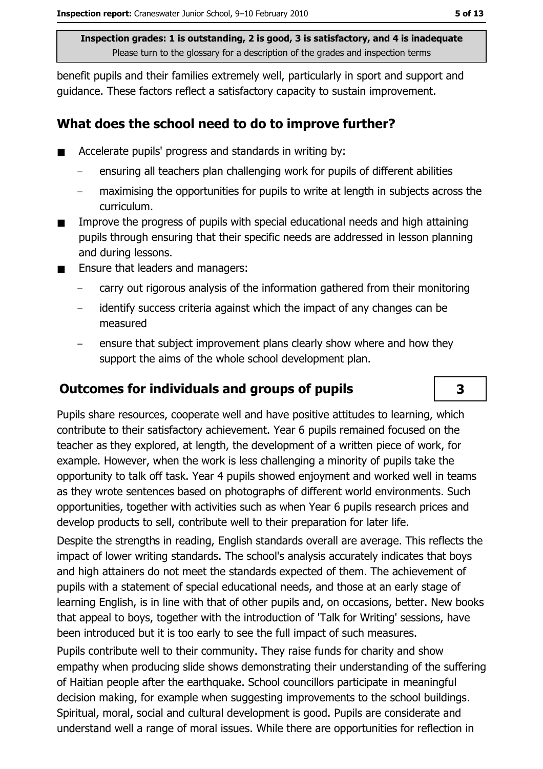benefit pupils and their families extremely well, particularly in sport and support and quidance. These factors reflect a satisfactory capacity to sustain improvement.

#### What does the school need to do to improve further?

- Accelerate pupils' progress and standards in writing by:  $\blacksquare$ 
	- ensuring all teachers plan challenging work for pupils of different abilities
	- maximising the opportunities for pupils to write at length in subjects across the curriculum.
- Improve the progress of pupils with special educational needs and high attaining  $\blacksquare$ pupils through ensuring that their specific needs are addressed in lesson planning and during lessons.
- Ensure that leaders and managers:  $\blacksquare$ 
	- carry out rigorous analysis of the information gathered from their monitoring
	- identify success criteria against which the impact of any changes can be measured
	- ensure that subject improvement plans clearly show where and how they support the aims of the whole school development plan.

### **Outcomes for individuals and groups of pupils**

Pupils share resources, cooperate well and have positive attitudes to learning, which contribute to their satisfactory achievement. Year 6 pupils remained focused on the teacher as they explored, at length, the development of a written piece of work, for example. However, when the work is less challenging a minority of pupils take the opportunity to talk off task. Year 4 pupils showed eniovment and worked well in teams as they wrote sentences based on photographs of different world environments. Such opportunities, together with activities such as when Year 6 pupils research prices and develop products to sell, contribute well to their preparation for later life.

Despite the strengths in reading, English standards overall are average. This reflects the impact of lower writing standards. The school's analysis accurately indicates that boys and high attainers do not meet the standards expected of them. The achievement of pupils with a statement of special educational needs, and those at an early stage of learning English, is in line with that of other pupils and, on occasions, better. New books that appeal to boys, together with the introduction of 'Talk for Writing' sessions, have been introduced but it is too early to see the full impact of such measures.

Pupils contribute well to their community. They raise funds for charity and show empathy when producing slide shows demonstrating their understanding of the suffering of Haitian people after the earthquake. School councillors participate in meaningful decision making, for example when suggesting improvements to the school buildings. Spiritual, moral, social and cultural development is good. Pupils are considerate and understand well a range of moral issues. While there are opportunities for reflection in

3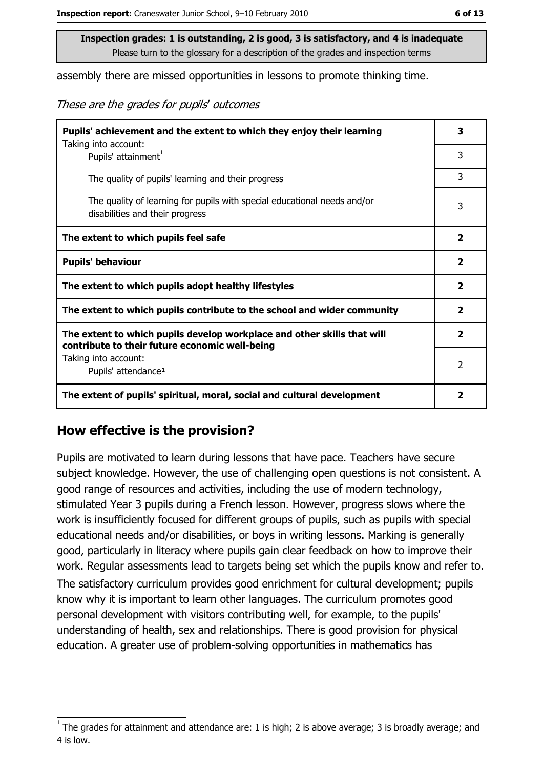assembly there are missed opportunities in lessons to promote thinking time.

These are the grades for pupils' outcomes

| Pupils' achievement and the extent to which they enjoy their learning<br>Taking into account:                             | 3                       |
|---------------------------------------------------------------------------------------------------------------------------|-------------------------|
| Pupils' attainment <sup>1</sup>                                                                                           | 3                       |
| The quality of pupils' learning and their progress                                                                        | 3                       |
| The quality of learning for pupils with special educational needs and/or<br>disabilities and their progress               | 3                       |
| The extent to which pupils feel safe                                                                                      | $\overline{\mathbf{2}}$ |
| <b>Pupils' behaviour</b>                                                                                                  | $\overline{\mathbf{2}}$ |
| The extent to which pupils adopt healthy lifestyles                                                                       | $\overline{\mathbf{2}}$ |
| The extent to which pupils contribute to the school and wider community                                                   |                         |
| The extent to which pupils develop workplace and other skills that will<br>contribute to their future economic well-being | $\overline{\mathbf{2}}$ |
| Taking into account:<br>Pupils' attendance <sup>1</sup>                                                                   | $\overline{2}$          |
| The extent of pupils' spiritual, moral, social and cultural development                                                   | $\overline{\mathbf{2}}$ |

#### How effective is the provision?

Pupils are motivated to learn during lessons that have pace. Teachers have secure subject knowledge. However, the use of challenging open guestions is not consistent. A good range of resources and activities, including the use of modern technology, stimulated Year 3 pupils during a French lesson. However, progress slows where the work is insufficiently focused for different groups of pupils, such as pupils with special educational needs and/or disabilities, or boys in writing lessons. Marking is generally good, particularly in literacy where pupils gain clear feedback on how to improve their work. Regular assessments lead to targets being set which the pupils know and refer to.

The satisfactory curriculum provides good enrichment for cultural development; pupils know why it is important to learn other languages. The curriculum promotes good personal development with visitors contributing well, for example, to the pupils' understanding of health, sex and relationships. There is good provision for physical education. A greater use of problem-solving opportunities in mathematics has

The grades for attainment and attendance are: 1 is high; 2 is above average; 3 is broadly average; and 4 is low.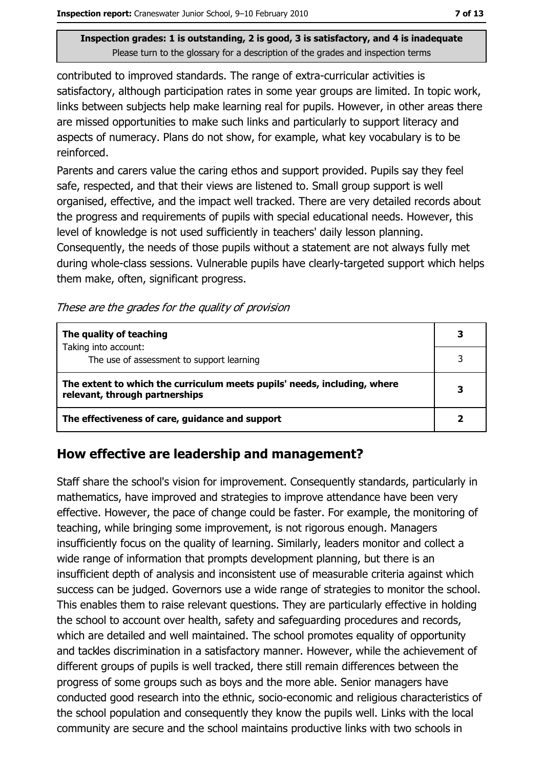contributed to improved standards. The range of extra-curricular activities is satisfactory, although participation rates in some year groups are limited. In topic work, links between subjects help make learning real for pupils. However, in other areas there are missed opportunities to make such links and particularly to support literacy and aspects of numeracy. Plans do not show, for example, what key vocabulary is to be reinforced.

Parents and carers value the caring ethos and support provided. Pupils say they feel safe, respected, and that their views are listened to. Small group support is well organised, effective, and the impact well tracked. There are very detailed records about the progress and requirements of pupils with special educational needs. However, this level of knowledge is not used sufficiently in teachers' daily lesson planning. Consequently, the needs of those pupils without a statement are not always fully met during whole-class sessions. Vulnerable pupils have clearly-targeted support which helps them make, often, significant progress.

These are the grades for the quality of provision

| The quality of teaching                                                                                    |  |
|------------------------------------------------------------------------------------------------------------|--|
| Taking into account:<br>The use of assessment to support learning                                          |  |
| The extent to which the curriculum meets pupils' needs, including, where<br>relevant, through partnerships |  |
| The effectiveness of care, guidance and support                                                            |  |

#### How effective are leadership and management?

Staff share the school's vision for improvement. Consequently standards, particularly in mathematics, have improved and strategies to improve attendance have been very effective. However, the pace of change could be faster. For example, the monitoring of teaching, while bringing some improvement, is not rigorous enough. Managers insufficiently focus on the quality of learning. Similarly, leaders monitor and collect a wide range of information that prompts development planning, but there is an insufficient depth of analysis and inconsistent use of measurable criteria against which success can be judged. Governors use a wide range of strategies to monitor the school. This enables them to raise relevant questions. They are particularly effective in holding the school to account over health, safety and safeguarding procedures and records, which are detailed and well maintained. The school promotes equality of opportunity and tackles discrimination in a satisfactory manner. However, while the achievement of different groups of pupils is well tracked, there still remain differences between the progress of some groups such as boys and the more able. Senior managers have conducted good research into the ethnic, socio-economic and religious characteristics of the school population and consequently they know the pupils well. Links with the local community are secure and the school maintains productive links with two schools in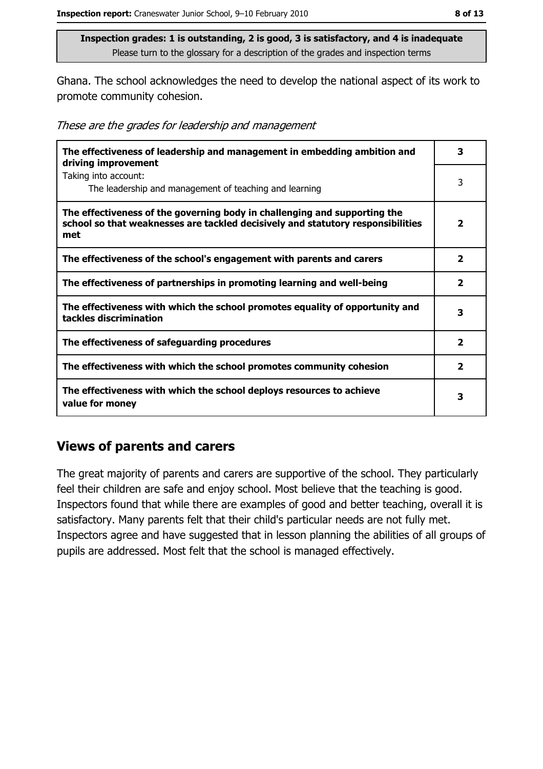Ghana. The school acknowledges the need to develop the national aspect of its work to promote community cohesion.

|  |  | These are the grades for leadership and management |
|--|--|----------------------------------------------------|
|  |  |                                                    |

| The effectiveness of leadership and management in embedding ambition and<br>driving improvement                                                                     | 3              |
|---------------------------------------------------------------------------------------------------------------------------------------------------------------------|----------------|
| Taking into account:<br>The leadership and management of teaching and learning                                                                                      | 3              |
| The effectiveness of the governing body in challenging and supporting the<br>school so that weaknesses are tackled decisively and statutory responsibilities<br>met | $\mathbf{2}$   |
| The effectiveness of the school's engagement with parents and carers                                                                                                | $\overline{2}$ |
| The effectiveness of partnerships in promoting learning and well-being                                                                                              | $\mathbf{z}$   |
| The effectiveness with which the school promotes equality of opportunity and<br>tackles discrimination                                                              | 3              |
| The effectiveness of safeguarding procedures                                                                                                                        | $\overline{2}$ |
| The effectiveness with which the school promotes community cohesion                                                                                                 | 2              |
| The effectiveness with which the school deploys resources to achieve<br>value for money                                                                             |                |

#### **Views of parents and carers**

The great majority of parents and carers are supportive of the school. They particularly feel their children are safe and enjoy school. Most believe that the teaching is good. Inspectors found that while there are examples of good and better teaching, overall it is satisfactory. Many parents felt that their child's particular needs are not fully met. Inspectors agree and have suggested that in lesson planning the abilities of all groups of pupils are addressed. Most felt that the school is managed effectively.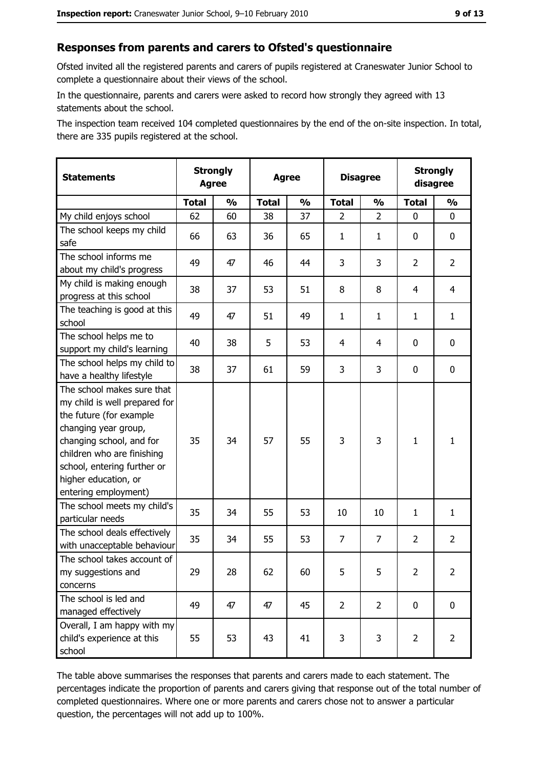#### Responses from parents and carers to Ofsted's questionnaire

Ofsted invited all the registered parents and carers of pupils registered at Craneswater Junior School to complete a questionnaire about their views of the school.

In the questionnaire, parents and carers were asked to record how strongly they agreed with 13 statements about the school.

The inspection team received 104 completed questionnaires by the end of the on-site inspection. In total, there are 335 pupils registered at the school.

| <b>Statements</b>                                                                                                                                                                                                                                       | <b>Strongly</b><br><b>Agree</b> |               | <b>Agree</b> |               | <b>Disagree</b> |                | <b>Strongly</b><br>disagree |                |
|---------------------------------------------------------------------------------------------------------------------------------------------------------------------------------------------------------------------------------------------------------|---------------------------------|---------------|--------------|---------------|-----------------|----------------|-----------------------------|----------------|
|                                                                                                                                                                                                                                                         | <b>Total</b>                    | $\frac{1}{2}$ | <b>Total</b> | $\frac{0}{0}$ | <b>Total</b>    | $\frac{1}{2}$  | <b>Total</b>                | $\frac{1}{2}$  |
| My child enjoys school                                                                                                                                                                                                                                  | 62                              | 60            | 38           | 37            | $\overline{2}$  | $\overline{2}$ | 0                           | 0              |
| The school keeps my child<br>safe                                                                                                                                                                                                                       | 66                              | 63            | 36           | 65            | $\mathbf{1}$    | 1              | 0                           | 0              |
| The school informs me<br>about my child's progress                                                                                                                                                                                                      | 49                              | 47            | 46           | 44            | 3               | 3              | $\overline{2}$              | $\overline{2}$ |
| My child is making enough<br>progress at this school                                                                                                                                                                                                    | 38                              | 37            | 53           | 51            | 8               | 8              | $\overline{4}$              | $\overline{4}$ |
| The teaching is good at this<br>school                                                                                                                                                                                                                  | 49                              | 47            | 51           | 49            | $\mathbf{1}$    | $\mathbf{1}$   | 1                           | $\mathbf{1}$   |
| The school helps me to<br>support my child's learning                                                                                                                                                                                                   | 40                              | 38            | 5            | 53            | 4               | 4              | 0                           | 0              |
| The school helps my child to<br>have a healthy lifestyle                                                                                                                                                                                                | 38                              | 37            | 61           | 59            | 3               | 3              | 0                           | $\mathbf 0$    |
| The school makes sure that<br>my child is well prepared for<br>the future (for example<br>changing year group,<br>changing school, and for<br>children who are finishing<br>school, entering further or<br>higher education, or<br>entering employment) | 35                              | 34            | 57           | 55            | 3               | 3              | $\mathbf{1}$                | $\mathbf{1}$   |
| The school meets my child's<br>particular needs                                                                                                                                                                                                         | 35                              | 34            | 55           | 53            | 10              | 10             | 1                           | $\mathbf{1}$   |
| The school deals effectively<br>with unacceptable behaviour                                                                                                                                                                                             | 35                              | 34            | 55           | 53            | $\overline{7}$  | $\overline{7}$ | $\overline{2}$              | $\overline{2}$ |
| The school takes account of<br>my suggestions and<br>concerns                                                                                                                                                                                           | 29                              | 28            | 62           | 60            | 5               | 5              | $\overline{2}$              | $\overline{2}$ |
| The school is led and<br>managed effectively                                                                                                                                                                                                            | 49                              | 47            | 47           | 45            | $\overline{2}$  | $\overline{2}$ | $\mathbf 0$                 | $\mathbf 0$    |
| Overall, I am happy with my<br>child's experience at this<br>school                                                                                                                                                                                     | 55                              | 53            | 43           | 41            | 3               | 3              | $\overline{2}$              | $\overline{2}$ |

The table above summarises the responses that parents and carers made to each statement. The percentages indicate the proportion of parents and carers giving that response out of the total number of completed questionnaires. Where one or more parents and carers chose not to answer a particular question, the percentages will not add up to 100%.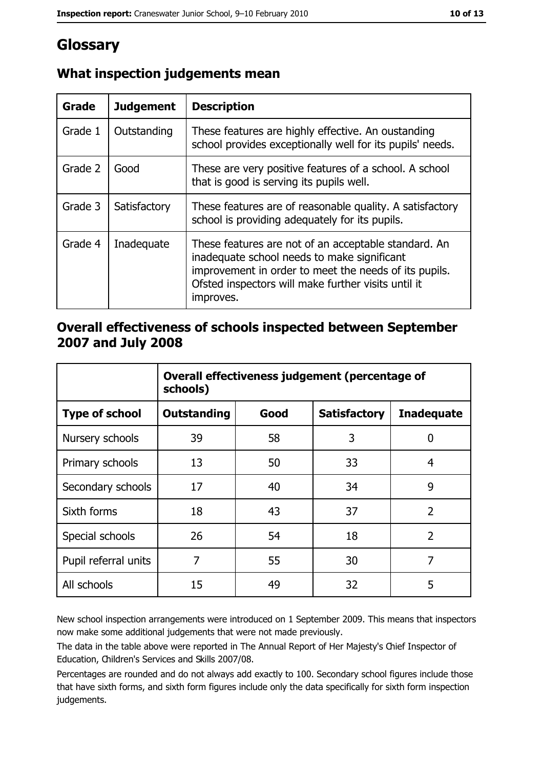## Glossary

| Grade   | <b>Judgement</b> | <b>Description</b>                                                                                                                                                                                                               |
|---------|------------------|----------------------------------------------------------------------------------------------------------------------------------------------------------------------------------------------------------------------------------|
| Grade 1 | Outstanding      | These features are highly effective. An oustanding<br>school provides exceptionally well for its pupils' needs.                                                                                                                  |
| Grade 2 | Good             | These are very positive features of a school. A school<br>that is good is serving its pupils well.                                                                                                                               |
| Grade 3 | Satisfactory     | These features are of reasonable quality. A satisfactory<br>school is providing adequately for its pupils.                                                                                                                       |
| Grade 4 | Inadequate       | These features are not of an acceptable standard. An<br>inadequate school needs to make significant<br>improvement in order to meet the needs of its pupils.<br>Ofsted inspectors will make further visits until it<br>improves. |

## What inspection judgements mean

#### Overall effectiveness of schools inspected between September 2007 and July 2008

|                       | Overall effectiveness judgement (percentage of<br>schools) |      |                     |                   |
|-----------------------|------------------------------------------------------------|------|---------------------|-------------------|
| <b>Type of school</b> | Outstanding                                                | Good | <b>Satisfactory</b> | <b>Inadequate</b> |
| Nursery schools       | 39                                                         | 58   | 3                   | 0                 |
| Primary schools       | 13                                                         | 50   | 33                  | 4                 |
| Secondary schools     | 17                                                         | 40   | 34                  | 9                 |
| Sixth forms           | 18                                                         | 43   | 37                  | $\overline{2}$    |
| Special schools       | 26                                                         | 54   | 18                  | $\overline{2}$    |
| Pupil referral units  | 7                                                          | 55   | 30                  | 7                 |
| All schools           | 15                                                         | 49   | 32                  | 5                 |

New school inspection arrangements were introduced on 1 September 2009. This means that inspectors now make some additional judgements that were not made previously.

The data in the table above were reported in The Annual Report of Her Majesty's Chief Inspector of Education, Children's Services and Skills 2007/08.

Percentages are rounded and do not always add exactly to 100. Secondary school figures include those that have sixth forms, and sixth form figures include only the data specifically for sixth form inspection judgements.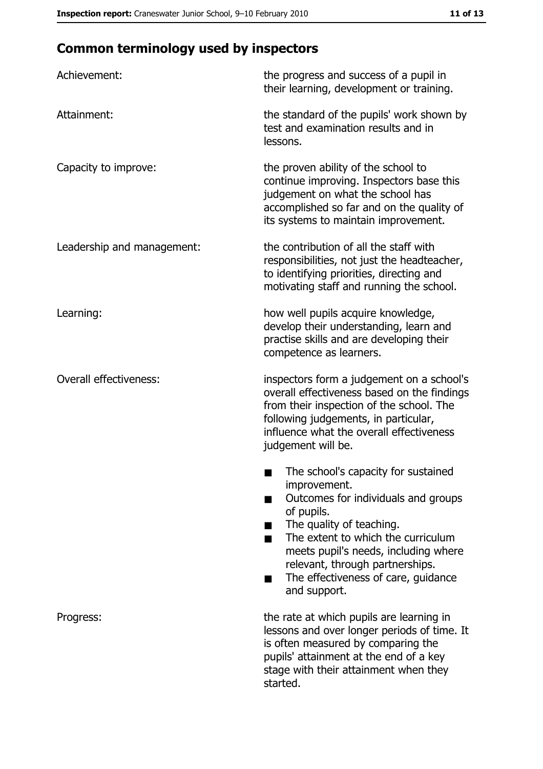## **Common terminology used by inspectors**

| Achievement:                  | the progress and success of a pupil in<br>their learning, development or training.                                                                                                                                                                                                                           |
|-------------------------------|--------------------------------------------------------------------------------------------------------------------------------------------------------------------------------------------------------------------------------------------------------------------------------------------------------------|
| Attainment:                   | the standard of the pupils' work shown by<br>test and examination results and in<br>lessons.                                                                                                                                                                                                                 |
| Capacity to improve:          | the proven ability of the school to<br>continue improving. Inspectors base this<br>judgement on what the school has<br>accomplished so far and on the quality of<br>its systems to maintain improvement.                                                                                                     |
| Leadership and management:    | the contribution of all the staff with<br>responsibilities, not just the headteacher,<br>to identifying priorities, directing and<br>motivating staff and running the school.                                                                                                                                |
| Learning:                     | how well pupils acquire knowledge,<br>develop their understanding, learn and<br>practise skills and are developing their<br>competence as learners.                                                                                                                                                          |
| <b>Overall effectiveness:</b> | inspectors form a judgement on a school's<br>overall effectiveness based on the findings<br>from their inspection of the school. The<br>following judgements, in particular,<br>influence what the overall effectiveness<br>judgement will be.                                                               |
|                               | The school's capacity for sustained<br>improvement.<br>Outcomes for individuals and groups<br>of pupils.<br>The quality of teaching.<br>The extent to which the curriculum<br>meets pupil's needs, including where<br>relevant, through partnerships.<br>The effectiveness of care, guidance<br>and support. |
| Progress:                     | the rate at which pupils are learning in<br>lessons and over longer periods of time. It<br>is often measured by comparing the<br>pupils' attainment at the end of a key<br>stage with their attainment when they<br>started.                                                                                 |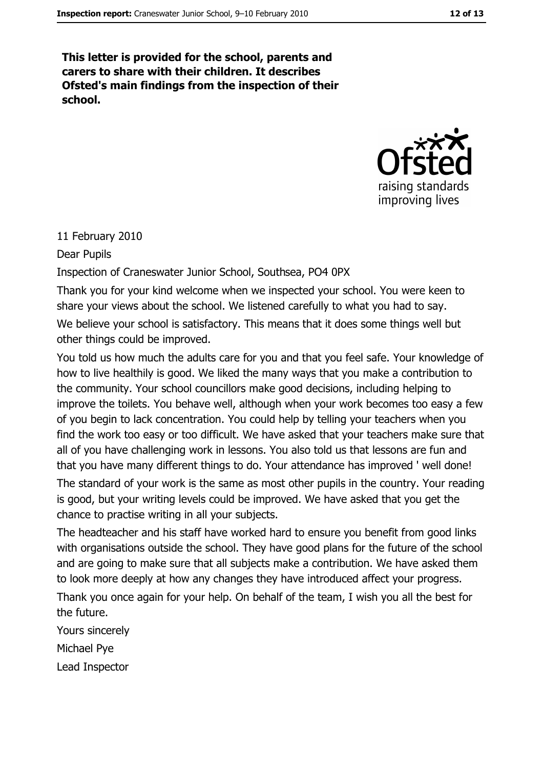This letter is provided for the school, parents and carers to share with their children. It describes Ofsted's main findings from the inspection of their school.



#### 11 February 2010

Dear Pupils

Inspection of Craneswater Junior School, Southsea, PO4 0PX

Thank you for your kind welcome when we inspected your school. You were keen to share your views about the school. We listened carefully to what you had to say.

We believe your school is satisfactory. This means that it does some things well but other things could be improved.

You told us how much the adults care for you and that you feel safe. Your knowledge of how to live healthily is good. We liked the many ways that you make a contribution to the community. Your school councillors make good decisions, including helping to improve the toilets. You behave well, although when your work becomes too easy a few of you begin to lack concentration. You could help by telling your teachers when you find the work too easy or too difficult. We have asked that your teachers make sure that all of you have challenging work in lessons. You also told us that lessons are fun and that you have many different things to do. Your attendance has improved ' well done!

The standard of your work is the same as most other pupils in the country. Your reading is good, but your writing levels could be improved. We have asked that you get the chance to practise writing in all your subjects.

The headteacher and his staff have worked hard to ensure you benefit from good links with organisations outside the school. They have good plans for the future of the school and are going to make sure that all subjects make a contribution. We have asked them to look more deeply at how any changes they have introduced affect your progress.

Thank you once again for your help. On behalf of the team, I wish you all the best for the future.

Yours sincerely Michael Pye Lead Inspector